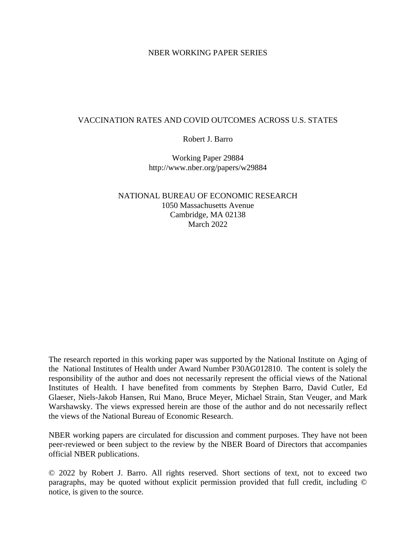## NBER WORKING PAPER SERIES

# VACCINATION RATES AND COVID OUTCOMES ACROSS U.S. STATES

## Robert J. Barro

Working Paper 29884 http://www.nber.org/papers/w29884

# NATIONAL BUREAU OF ECONOMIC RESEARCH 1050 Massachusetts Avenue Cambridge, MA 02138 March 2022

The research reported in this working paper was supported by the National Institute on Aging of the National Institutes of Health under Award Number P30AG012810. The content is solely the responsibility of the author and does not necessarily represent the official views of the National Institutes of Health. I have benefited from comments by Stephen Barro, David Cutler, Ed Glaeser, Niels-Jakob Hansen, Rui Mano, Bruce Meyer, Michael Strain, Stan Veuger, and Mark Warshawsky. The views expressed herein are those of the author and do not necessarily reflect the views of the National Bureau of Economic Research.

NBER working papers are circulated for discussion and comment purposes. They have not been peer-reviewed or been subject to the review by the NBER Board of Directors that accompanies official NBER publications.

© 2022 by Robert J. Barro. All rights reserved. Short sections of text, not to exceed two paragraphs, may be quoted without explicit permission provided that full credit, including © notice, is given to the source.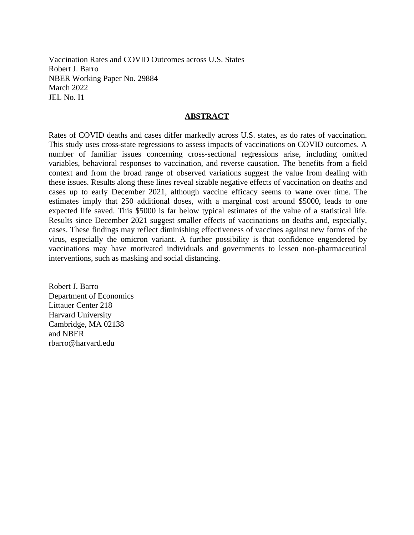Vaccination Rates and COVID Outcomes across U.S. States Robert J. Barro NBER Working Paper No. 29884 March 2022 JEL No. I1

## **ABSTRACT**

Rates of COVID deaths and cases differ markedly across U.S. states, as do rates of vaccination. This study uses cross-state regressions to assess impacts of vaccinations on COVID outcomes. A number of familiar issues concerning cross-sectional regressions arise, including omitted variables, behavioral responses to vaccination, and reverse causation. The benefits from a field context and from the broad range of observed variations suggest the value from dealing with these issues. Results along these lines reveal sizable negative effects of vaccination on deaths and cases up to early December 2021, although vaccine efficacy seems to wane over time. The estimates imply that 250 additional doses, with a marginal cost around \$5000, leads to one expected life saved. This \$5000 is far below typical estimates of the value of a statistical life. Results since December 2021 suggest smaller effects of vaccinations on deaths and, especially, cases. These findings may reflect diminishing effectiveness of vaccines against new forms of the virus, especially the omicron variant. A further possibility is that confidence engendered by vaccinations may have motivated individuals and governments to lessen non-pharmaceutical interventions, such as masking and social distancing.

Robert J. Barro Department of Economics Littauer Center 218 Harvard University Cambridge, MA 02138 and NBER rbarro@harvard.edu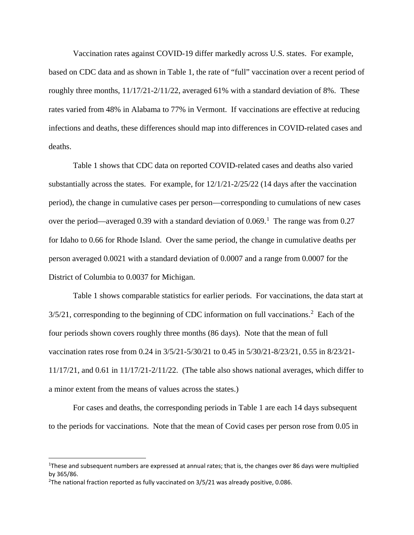Vaccination rates against COVID-19 differ markedly across U.S. states. For example, based on CDC data and as shown in Table 1, the rate of "full" vaccination over a recent period of roughly three months, 11/17/21-2/11/22, averaged 61% with a standard deviation of 8%. These rates varied from 48% in Alabama to 77% in Vermont. If vaccinations are effective at reducing infections and deaths, these differences should map into differences in COVID-related cases and deaths.

Table 1 shows that CDC data on reported COVID-related cases and deaths also varied substantially across the states. For example, for 12/1/21-2/25/22 (14 days after the vaccination period), the change in cumulative cases per person—corresponding to cumulations of new cases over the period—averaged 0.39 with a standard deviation of  $0.069$ .<sup>[1](#page-2-0)</sup> The range was from 0.27 for Idaho to 0.66 for Rhode Island. Over the same period, the change in cumulative deaths per person averaged 0.0021 with a standard deviation of 0.0007 and a range from 0.0007 for the District of Columbia to 0.0037 for Michigan.

Table 1 shows comparable statistics for earlier periods. For vaccinations, the data start at  $3/5/21$  $3/5/21$  $3/5/21$ , corresponding to the beginning of CDC information on full vaccinations.<sup>2</sup> Each of the four periods shown covers roughly three months (86 days). Note that the mean of full vaccination rates rose from 0.24 in 3/5/21-5/30/21 to 0.45 in 5/30/21-8/23/21, 0.55 in 8/23/21-  $11/17/21$ , and 0.61 in  $11/17/21-2/11/22$ . (The table also shows national averages, which differ to a minor extent from the means of values across the states.)

For cases and deaths, the corresponding periods in Table 1 are each 14 days subsequent to the periods for vaccinations. Note that the mean of Covid cases per person rose from 0.05 in

<span id="page-2-0"></span><sup>&</sup>lt;sup>1</sup>These and subsequent numbers are expressed at annual rates; that is, the changes over 86 days were multiplied by 365/86.

<span id="page-2-1"></span><sup>&</sup>lt;sup>2</sup>The national fraction reported as fully vaccinated on  $3/5/21$  was already positive, 0.086.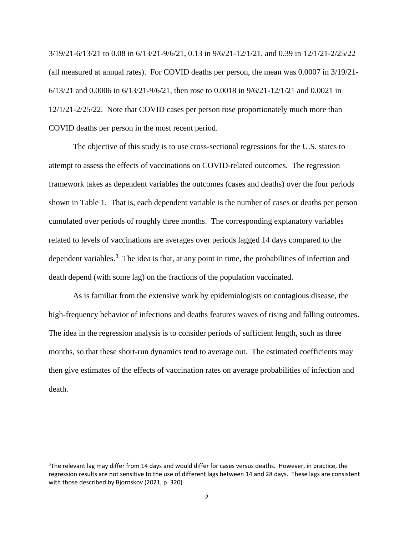3/19/21-6/13/21 to 0.08 in 6/13/21-9/6/21, 0.13 in 9/6/21-12/1/21, and 0.39 in 12/1/21-2/25/22 (all measured at annual rates). For COVID deaths per person, the mean was 0.0007 in 3/19/21- 6/13/21 and 0.0006 in 6/13/21-9/6/21, then rose to 0.0018 in 9/6/21-12/1/21 and 0.0021 in 12/1/21-2/25/22. Note that COVID cases per person rose proportionately much more than COVID deaths per person in the most recent period.

The objective of this study is to use cross-sectional regressions for the U.S. states to attempt to assess the effects of vaccinations on COVID-related outcomes. The regression framework takes as dependent variables the outcomes (cases and deaths) over the four periods shown in Table 1. That is, each dependent variable is the number of cases or deaths per person cumulated over periods of roughly three months. The corresponding explanatory variables related to levels of vaccinations are averages over periods lagged 14 days compared to the dependent variables.<sup>[3](#page-3-0)</sup> The idea is that, at any point in time, the probabilities of infection and death depend (with some lag) on the fractions of the population vaccinated.

As is familiar from the extensive work by epidemiologists on contagious disease, the high-frequency behavior of infections and deaths features waves of rising and falling outcomes. The idea in the regression analysis is to consider periods of sufficient length, such as three months, so that these short-run dynamics tend to average out. The estimated coefficients may then give estimates of the effects of vaccination rates on average probabilities of infection and death.

<span id="page-3-0"></span><sup>&</sup>lt;sup>3</sup>The relevant lag may differ from 14 days and would differ for cases versus deaths. However, in practice, the regression results are not sensitive to the use of different lags between 14 and 28 days. These lags are consistent with those described by Bjornskov (2021, p. 320)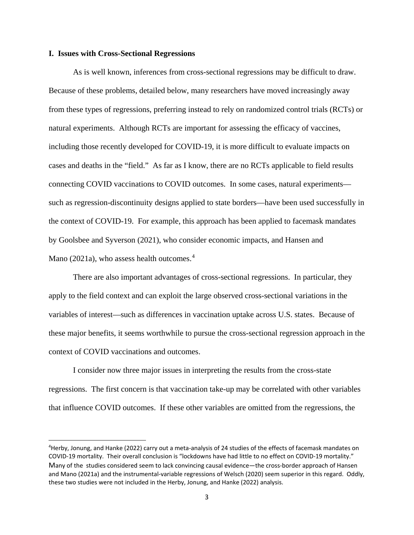## **I. Issues with Cross-Sectional Regressions**

 $\overline{\phantom{a}}$ 

As is well known, inferences from cross-sectional regressions may be difficult to draw. Because of these problems, detailed below, many researchers have moved increasingly away from these types of regressions, preferring instead to rely on randomized control trials (RCTs) or natural experiments. Although RCTs are important for assessing the efficacy of vaccines, including those recently developed for COVID-19, it is more difficult to evaluate impacts on cases and deaths in the "field." As far as I know, there are no RCTs applicable to field results connecting COVID vaccinations to COVID outcomes. In some cases, natural experiments such as regression-discontinuity designs applied to state borders—have been used successfully in the context of COVID-19. For example, this approach has been applied to facemask mandates by Goolsbee and Syverson (2021), who consider economic impacts, and Hansen and Mano (2021a), who assess health outcomes. [4](#page-4-0)

There are also important advantages of cross-sectional regressions. In particular, they apply to the field context and can exploit the large observed cross-sectional variations in the variables of interest—such as differences in vaccination uptake across U.S. states. Because of these major benefits, it seems worthwhile to pursue the cross-sectional regression approach in the context of COVID vaccinations and outcomes.

I consider now three major issues in interpreting the results from the cross-state regressions. The first concern is that vaccination take-up may be correlated with other variables that influence COVID outcomes. If these other variables are omitted from the regressions, the

<span id="page-4-0"></span><sup>4</sup> Herby, Jonung, and Hanke (2022) carry out a meta-analysis of 24 studies of the effects of facemask mandates on COVID-19 mortality. Their overall conclusion is "lockdowns have had little to no effect on COVID-19 mortality." Many of the studies considered seem to lack convincing causal evidence—the cross-border approach of Hansen and Mano (2021a) and the instrumental-variable regressions of Welsch (2020) seem superior in this regard. Oddly, these two studies were not included in the Herby, Jonung, and Hanke (2022) analysis.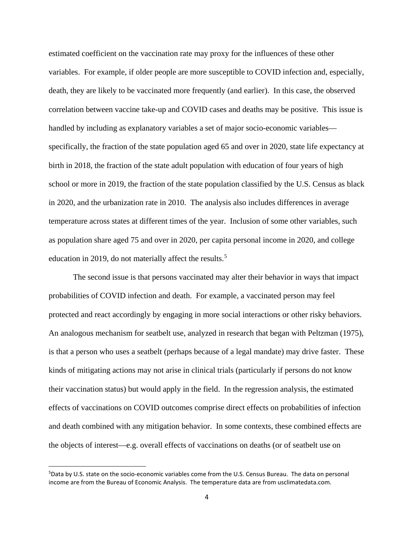estimated coefficient on the vaccination rate may proxy for the influences of these other variables. For example, if older people are more susceptible to COVID infection and, especially, death, they are likely to be vaccinated more frequently (and earlier). In this case, the observed correlation between vaccine take-up and COVID cases and deaths may be positive. This issue is handled by including as explanatory variables a set of major socio-economic variables specifically, the fraction of the state population aged 65 and over in 2020, state life expectancy at birth in 2018, the fraction of the state adult population with education of four years of high school or more in 2019, the fraction of the state population classified by the U.S. Census as black in 2020, and the urbanization rate in 2010. The analysis also includes differences in average temperature across states at different times of the year. Inclusion of some other variables, such as population share aged 75 and over in 2020, per capita personal income in 2020, and college education in 2019, do not materially affect the results.<sup>[5](#page-5-0)</sup>

The second issue is that persons vaccinated may alter their behavior in ways that impact probabilities of COVID infection and death. For example, a vaccinated person may feel protected and react accordingly by engaging in more social interactions or other risky behaviors. An analogous mechanism for seatbelt use, analyzed in research that began with Peltzman (1975), is that a person who uses a seatbelt (perhaps because of a legal mandate) may drive faster. These kinds of mitigating actions may not arise in clinical trials (particularly if persons do not know their vaccination status) but would apply in the field. In the regression analysis, the estimated effects of vaccinations on COVID outcomes comprise direct effects on probabilities of infection and death combined with any mitigation behavior. In some contexts, these combined effects are the objects of interest—e.g. overall effects of vaccinations on deaths (or of seatbelt use on

 $\overline{a}$ 

<span id="page-5-0"></span><sup>5</sup> Data by U.S. state on the socio-economic variables come from the U.S. Census Bureau. The data on personal income are from the Bureau of Economic Analysis. The temperature data are from usclimatedata.com.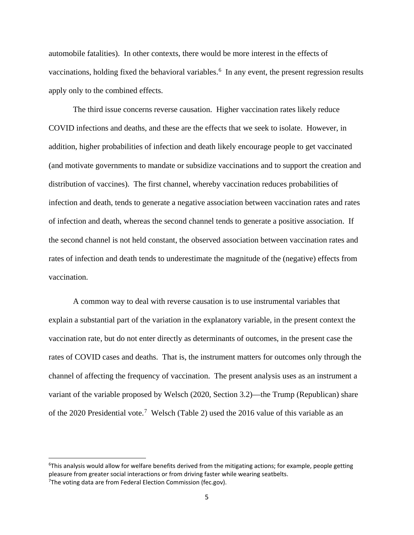automobile fatalities). In other contexts, there would be more interest in the effects of vaccinations, holding fixed the behavioral variables.<sup>[6](#page-6-0)</sup> In any event, the present regression results apply only to the combined effects.

The third issue concerns reverse causation. Higher vaccination rates likely reduce COVID infections and deaths, and these are the effects that we seek to isolate. However, in addition, higher probabilities of infection and death likely encourage people to get vaccinated (and motivate governments to mandate or subsidize vaccinations and to support the creation and distribution of vaccines). The first channel, whereby vaccination reduces probabilities of infection and death, tends to generate a negative association between vaccination rates and rates of infection and death, whereas the second channel tends to generate a positive association. If the second channel is not held constant, the observed association between vaccination rates and rates of infection and death tends to underestimate the magnitude of the (negative) effects from vaccination.

A common way to deal with reverse causation is to use instrumental variables that explain a substantial part of the variation in the explanatory variable, in the present context the vaccination rate, but do not enter directly as determinants of outcomes, in the present case the rates of COVID cases and deaths. That is, the instrument matters for outcomes only through the channel of affecting the frequency of vaccination. The present analysis uses as an instrument a variant of the variable proposed by Welsch (2020, Section 3.2)—the Trump (Republican) share of the 2020 Presidential vote.<sup>[7](#page-6-1)</sup> Welsch (Table 2) used the 2016 value of this variable as an

<span id="page-6-0"></span><sup>6</sup> This analysis would allow for welfare benefits derived from the mitigating actions; for example, people getting pleasure from greater social interactions or from driving faster while wearing seatbelts.

<span id="page-6-1"></span><sup>&</sup>lt;sup>7</sup>The voting data are from Federal Election Commission (fec.gov).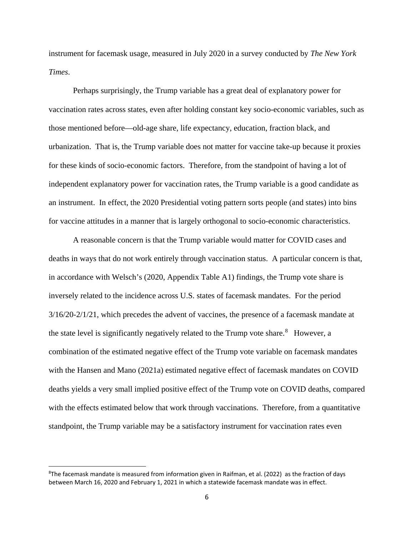instrument for facemask usage, measured in July 2020 in a survey conducted by *The New York Times*.

Perhaps surprisingly, the Trump variable has a great deal of explanatory power for vaccination rates across states, even after holding constant key socio-economic variables, such as those mentioned before—old-age share, life expectancy, education, fraction black, and urbanization. That is, the Trump variable does not matter for vaccine take-up because it proxies for these kinds of socio-economic factors. Therefore, from the standpoint of having a lot of independent explanatory power for vaccination rates, the Trump variable is a good candidate as an instrument. In effect, the 2020 Presidential voting pattern sorts people (and states) into bins for vaccine attitudes in a manner that is largely orthogonal to socio-economic characteristics.

A reasonable concern is that the Trump variable would matter for COVID cases and deaths in ways that do not work entirely through vaccination status. A particular concern is that, in accordance with Welsch's (2020, Appendix Table A1) findings, the Trump vote share is inversely related to the incidence across U.S. states of facemask mandates. For the period 3/16/20-2/1/21, which precedes the advent of vaccines, the presence of a facemask mandate at the state level is significantly negatively related to the Trump vote share. $8$  However, a combination of the estimated negative effect of the Trump vote variable on facemask mandates with the Hansen and Mano (2021a) estimated negative effect of facemask mandates on COVID deaths yields a very small implied positive effect of the Trump vote on COVID deaths, compared with the effects estimated below that work through vaccinations. Therefore, from a quantitative standpoint, the Trump variable may be a satisfactory instrument for vaccination rates even

 $\overline{a}$ 

<span id="page-7-0"></span><sup>8</sup> The facemask mandate is measured from information given in Raifman, et al. (2022) as the fraction of days between March 16, 2020 and February 1, 2021 in which a statewide facemask mandate was in effect.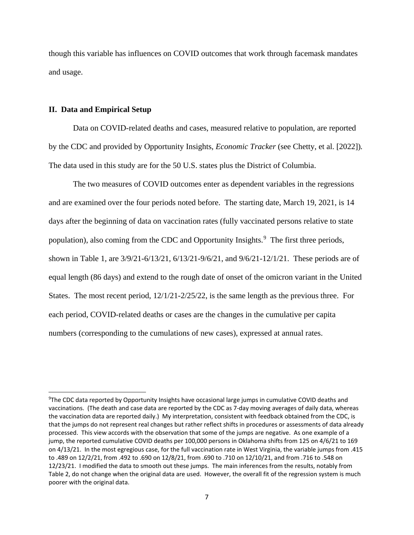though this variable has influences on COVID outcomes that work through facemask mandates and usage.

## **II. Data and Empirical Setup**

 $\overline{a}$ 

Data on COVID-related deaths and cases, measured relative to population, are reported by the CDC and provided by Opportunity Insights, *Economic Tracker* (see Chetty, et al. [2022])*.* The data used in this study are for the 50 U.S. states plus the District of Columbia.

The two measures of COVID outcomes enter as dependent variables in the regressions and are examined over the four periods noted before. The starting date, March 19, 2021, is 14 days after the beginning of data on vaccination rates (fully vaccinated persons relative to state population), also coming from the CDC and Opportunity Insights.<sup>[9](#page-8-0)</sup> The first three periods, shown in Table 1, are 3/9/21-6/13/21, 6/13/21-9/6/21, and 9/6/21-12/1/21. These periods are of equal length (86 days) and extend to the rough date of onset of the omicron variant in the United States. The most recent period, 12/1/21-2/25/22, is the same length as the previous three. For each period, COVID-related deaths or cases are the changes in the cumulative per capita numbers (corresponding to the cumulations of new cases), expressed at annual rates.

<span id="page-8-0"></span><sup>&</sup>lt;sup>9</sup>The CDC data reported by Opportunity Insights have occasional large jumps in cumulative COVID deaths and vaccinations. (The death and case data are reported by the CDC as 7-day moving averages of daily data, whereas the vaccination data are reported daily.) My interpretation, consistent with feedback obtained from the CDC, is that the jumps do not represent real changes but rather reflect shifts in procedures or assessments of data already processed. This view accords with the observation that some of the jumps are negative. As one example of a jump, the reported cumulative COVID deaths per 100,000 persons in Oklahoma shifts from 125 on 4/6/21 to 169 on 4/13/21. In the most egregious case, for the full vaccination rate in West Virginia, the variable jumps from .415 to .489 on 12/2/21, from .492 to .690 on 12/8/21, from .690 to .710 on 12/10/21, and from .716 to .548 on 12/23/21. I modified the data to smooth out these jumps. The main inferences from the results, notably from Table 2, do not change when the original data are used. However, the overall fit of the regression system is much poorer with the original data.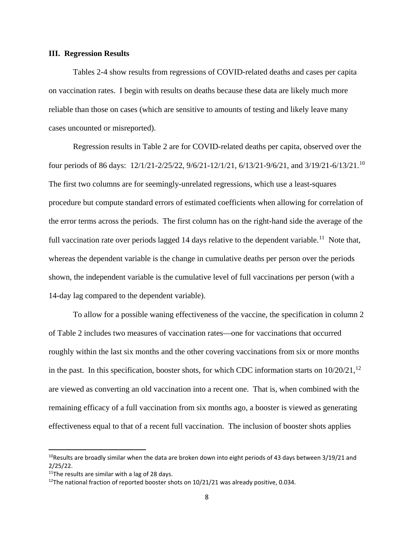## **III. Regression Results**

Tables 2-4 show results from regressions of COVID-related deaths and cases per capita on vaccination rates. I begin with results on deaths because these data are likely much more reliable than those on cases (which are sensitive to amounts of testing and likely leave many cases uncounted or misreported).

Regression results in Table 2 are for COVID-related deaths per capita, observed over the four periods of 86 days: 12/1/21-2/25/22, 9/6/21-12/1/21, 6/13/21-9/6/21, and 3/19/21-6/13/21.[10](#page-9-0)  The first two columns are for seemingly-unrelated regressions, which use a least-squares procedure but compute standard errors of estimated coefficients when allowing for correlation of the error terms across the periods. The first column has on the right-hand side the average of the full vaccination rate over periods lagged 14 days relative to the dependent variable.<sup>[11](#page-9-1)</sup> Note that, whereas the dependent variable is the change in cumulative deaths per person over the periods shown, the independent variable is the cumulative level of full vaccinations per person (with a 14-day lag compared to the dependent variable).

To allow for a possible waning effectiveness of the vaccine, the specification in column 2 of Table 2 includes two measures of vaccination rates—one for vaccinations that occurred roughly within the last six months and the other covering vaccinations from six or more months in the past. In this specification, booster shots, for which CDC information starts on  $10/20/21$ ,  $^{12}$  $^{12}$  $^{12}$ are viewed as converting an old vaccination into a recent one. That is, when combined with the remaining efficacy of a full vaccination from six months ago, a booster is viewed as generating effectiveness equal to that of a recent full vaccination. The inclusion of booster shots applies

 $\overline{a}$ 

<span id="page-9-0"></span> $10$ Results are broadly similar when the data are broken down into eight periods of 43 days between 3/19/21 and 2/25/22.

<span id="page-9-1"></span> $11$ The results are similar with a lag of 28 days.

<span id="page-9-2"></span> $12$ The national fraction of reported booster shots on 10/21/21 was already positive, 0.034.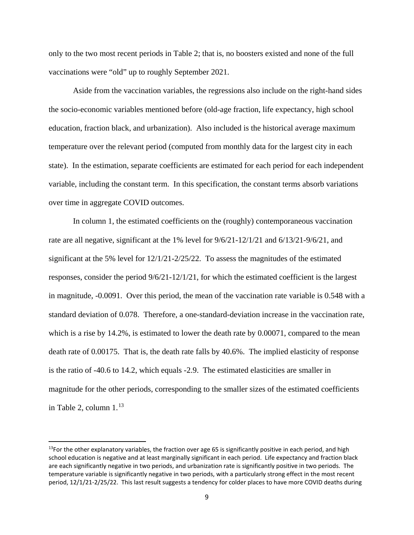only to the two most recent periods in Table 2; that is, no boosters existed and none of the full vaccinations were "old" up to roughly September 2021.

Aside from the vaccination variables, the regressions also include on the right-hand sides the socio-economic variables mentioned before (old-age fraction, life expectancy, high school education, fraction black, and urbanization). Also included is the historical average maximum temperature over the relevant period (computed from monthly data for the largest city in each state). In the estimation, separate coefficients are estimated for each period for each independent variable, including the constant term. In this specification, the constant terms absorb variations over time in aggregate COVID outcomes.

In column 1, the estimated coefficients on the (roughly) contemporaneous vaccination rate are all negative, significant at the 1% level for 9/6/21-12/1/21 and 6/13/21-9/6/21, and significant at the 5% level for 12/1/21-2/25/22. To assess the magnitudes of the estimated responses, consider the period 9/6/21-12/1/21, for which the estimated coefficient is the largest in magnitude, -0.0091. Over this period, the mean of the vaccination rate variable is 0.548 with a standard deviation of 0.078. Therefore, a one-standard-deviation increase in the vaccination rate, which is a rise by 14.2%, is estimated to lower the death rate by 0.00071, compared to the mean death rate of 0.00175. That is, the death rate falls by 40.6%. The implied elasticity of response is the ratio of -40.6 to 14.2, which equals -2.9. The estimated elasticities are smaller in magnitude for the other periods, corresponding to the smaller sizes of the estimated coefficients in Table 2, column  $1<sup>13</sup>$  $1<sup>13</sup>$  $1<sup>13</sup>$ 

l

<span id="page-10-0"></span> $13$ For the other explanatory variables, the fraction over age 65 is significantly positive in each period, and high school education is negative and at least marginally significant in each period. Life expectancy and fraction black are each significantly negative in two periods, and urbanization rate is significantly positive in two periods. The temperature variable is significantly negative in two periods, with a particularly strong effect in the most recent period, 12/1/21-2/25/22. This last result suggests a tendency for colder places to have more COVID deaths during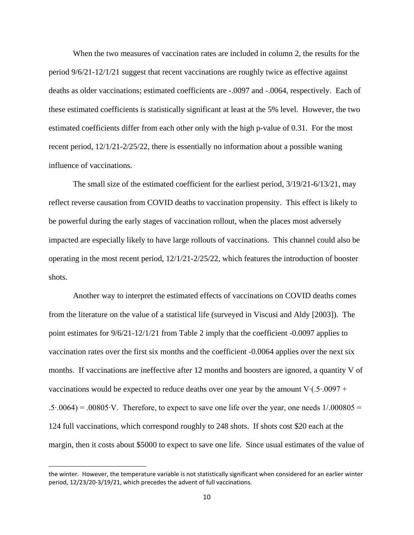When the two measures of vaccination rates are included in column 2, the results for the period 9/6/21-12/1/21 suggest that recent vaccinations are roughly twice as effective against deaths as older vaccinations; estimated coefficients are -.0097 and -.0064, respectively. Each of these estimated coefficients is statistically significant at least at the 5% level. However, the two estimated coefficients differ from each other only with the high p-value of 0.31. For the most recent period, 12/1/21-2/25/22, there is essentially no information about a possible waning influence of vaccinations.

The small size of the estimated coefficient for the earliest period, 3/19/21-6/13/21, may reflect reverse causation from COVID deaths to vaccination propensity. This effect is likely to be powerful during the early stages of vaccination rollout, when the places most adversely impacted are especially likely to have large rollouts of vaccinations. This channel could also be operating in the most recent period, 12/1/21-2/25/22, which features the introduction of booster shots.

Another way to interpret the estimated effects of vaccinations on COVID deaths comes from the literature on the value of a statistical life (surveyed in Viscusi and Aldy [2003]). The point estimates for 9/6/21-12/1/21 from Table 2 imply that the coefficient -0.0097 applies to vaccination rates over the first six months and the coefficient -0.0064 applies over the next six months. If vaccinations are ineffective after 12 months and boosters are ignored, a quantity V of vaccinations would be expected to reduce deaths over one year by the amount V∙(.5∙.0097 + .5∙.0064) = .00805∙V. Therefore, to expect to save one life over the year, one needs 1/.000805 = 124 full vaccinations, which correspond roughly to 248 shots. If shots cost \$20 each at the margin, then it costs about \$5000 to expect to save one life. Since usual estimates of the value of

 $\overline{a}$ 

the winter. However, the temperature variable is not statistically significant when considered for an earlier winter period, 12/23/20-3/19/21, which precedes the advent of full vaccinations.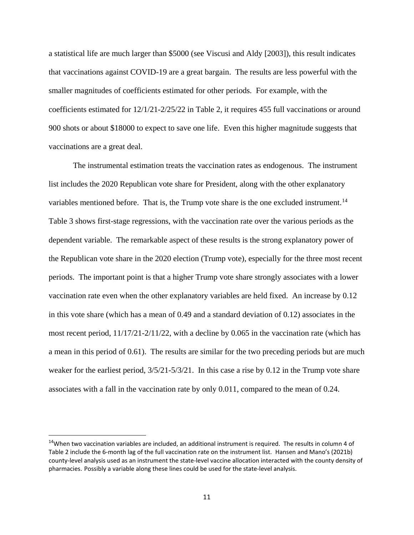a statistical life are much larger than \$5000 (see Viscusi and Aldy [2003]), this result indicates that vaccinations against COVID-19 are a great bargain. The results are less powerful with the smaller magnitudes of coefficients estimated for other periods. For example, with the coefficients estimated for 12/1/21-2/25/22 in Table 2, it requires 455 full vaccinations or around 900 shots or about \$18000 to expect to save one life. Even this higher magnitude suggests that vaccinations are a great deal.

The instrumental estimation treats the vaccination rates as endogenous. The instrument list includes the 2020 Republican vote share for President, along with the other explanatory variables mentioned before. That is, the Trump vote share is the one excluded instrument.<sup>[14](#page-12-0)</sup> Table 3 shows first-stage regressions, with the vaccination rate over the various periods as the dependent variable. The remarkable aspect of these results is the strong explanatory power of the Republican vote share in the 2020 election (Trump vote), especially for the three most recent periods. The important point is that a higher Trump vote share strongly associates with a lower vaccination rate even when the other explanatory variables are held fixed. An increase by 0.12 in this vote share (which has a mean of 0.49 and a standard deviation of 0.12) associates in the most recent period,  $11/17/21-2/11/22$ , with a decline by 0.065 in the vaccination rate (which has a mean in this period of 0.61). The results are similar for the two preceding periods but are much weaker for the earliest period,  $3/5/21-5/3/21$ . In this case a rise by 0.12 in the Trump vote share associates with a fall in the vaccination rate by only 0.011, compared to the mean of 0.24.

<span id="page-12-0"></span> $14$ When two vaccination variables are included, an additional instrument is required. The results in column 4 of Table 2 include the 6-month lag of the full vaccination rate on the instrument list. Hansen and Mano's (2021b) county-level analysis used as an instrument the state-level vaccine allocation interacted with the county density of pharmacies. Possibly a variable along these lines could be used for the state-level analysis.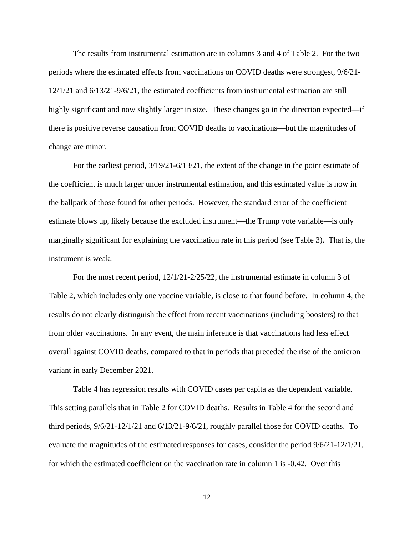The results from instrumental estimation are in columns 3 and 4 of Table 2. For the two periods where the estimated effects from vaccinations on COVID deaths were strongest, 9/6/21- 12/1/21 and 6/13/21-9/6/21, the estimated coefficients from instrumental estimation are still highly significant and now slightly larger in size. These changes go in the direction expected—if there is positive reverse causation from COVID deaths to vaccinations—but the magnitudes of change are minor.

For the earliest period, 3/19/21-6/13/21, the extent of the change in the point estimate of the coefficient is much larger under instrumental estimation, and this estimated value is now in the ballpark of those found for other periods. However, the standard error of the coefficient estimate blows up, likely because the excluded instrument—the Trump vote variable—is only marginally significant for explaining the vaccination rate in this period (see Table 3). That is, the instrument is weak.

For the most recent period, 12/1/21-2/25/22, the instrumental estimate in column 3 of Table 2, which includes only one vaccine variable, is close to that found before. In column 4, the results do not clearly distinguish the effect from recent vaccinations (including boosters) to that from older vaccinations. In any event, the main inference is that vaccinations had less effect overall against COVID deaths, compared to that in periods that preceded the rise of the omicron variant in early December 2021.

Table 4 has regression results with COVID cases per capita as the dependent variable. This setting parallels that in Table 2 for COVID deaths. Results in Table 4 for the second and third periods, 9/6/21-12/1/21 and 6/13/21-9/6/21, roughly parallel those for COVID deaths. To evaluate the magnitudes of the estimated responses for cases, consider the period 9/6/21-12/1/21, for which the estimated coefficient on the vaccination rate in column 1 is -0.42. Over this

12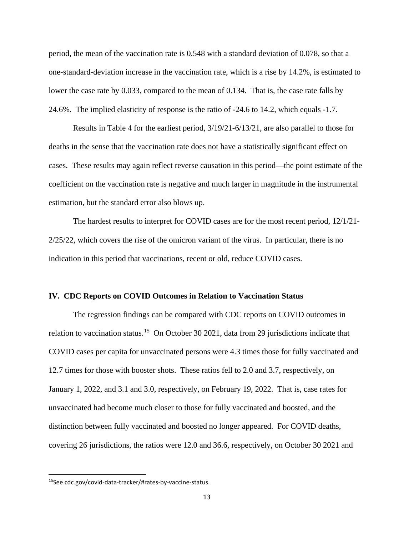period, the mean of the vaccination rate is 0.548 with a standard deviation of 0.078, so that a one-standard-deviation increase in the vaccination rate, which is a rise by 14.2%, is estimated to lower the case rate by 0.033, compared to the mean of 0.134. That is, the case rate falls by 24.6%. The implied elasticity of response is the ratio of -24.6 to 14.2, which equals -1.7.

Results in Table 4 for the earliest period, 3/19/21-6/13/21, are also parallel to those for deaths in the sense that the vaccination rate does not have a statistically significant effect on cases. These results may again reflect reverse causation in this period—the point estimate of the coefficient on the vaccination rate is negative and much larger in magnitude in the instrumental estimation, but the standard error also blows up.

The hardest results to interpret for COVID cases are for the most recent period, 12/1/21- 2/25/22, which covers the rise of the omicron variant of the virus. In particular, there is no indication in this period that vaccinations, recent or old, reduce COVID cases.

#### **IV. CDC Reports on COVID Outcomes in Relation to Vaccination Status**

The regression findings can be compared with CDC reports on COVID outcomes in relation to vaccination status.<sup>[15](#page-14-0)</sup> On October 30 2021, data from 29 jurisdictions indicate that COVID cases per capita for unvaccinated persons were 4.3 times those for fully vaccinated and 12.7 times for those with booster shots. These ratios fell to 2.0 and 3.7, respectively, on January 1, 2022, and 3.1 and 3.0, respectively, on February 19, 2022. That is, case rates for unvaccinated had become much closer to those for fully vaccinated and boosted, and the distinction between fully vaccinated and boosted no longer appeared. For COVID deaths, covering 26 jurisdictions, the ratios were 12.0 and 36.6, respectively, on October 30 2021 and

<span id="page-14-0"></span><sup>15</sup>See cdc.gov/covid-data-tracker/#rates-by-vaccine-status.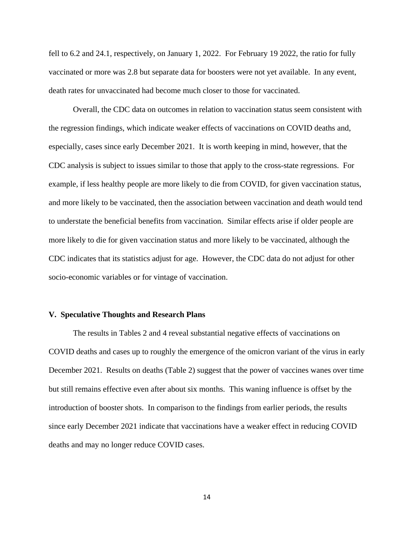fell to 6.2 and 24.1, respectively, on January 1, 2022. For February 19 2022, the ratio for fully vaccinated or more was 2.8 but separate data for boosters were not yet available. In any event, death rates for unvaccinated had become much closer to those for vaccinated.

Overall, the CDC data on outcomes in relation to vaccination status seem consistent with the regression findings, which indicate weaker effects of vaccinations on COVID deaths and, especially, cases since early December 2021. It is worth keeping in mind, however, that the CDC analysis is subject to issues similar to those that apply to the cross-state regressions. For example, if less healthy people are more likely to die from COVID, for given vaccination status, and more likely to be vaccinated, then the association between vaccination and death would tend to understate the beneficial benefits from vaccination. Similar effects arise if older people are more likely to die for given vaccination status and more likely to be vaccinated, although the CDC indicates that its statistics adjust for age. However, the CDC data do not adjust for other socio-economic variables or for vintage of vaccination.

#### **V. Speculative Thoughts and Research Plans**

The results in Tables 2 and 4 reveal substantial negative effects of vaccinations on COVID deaths and cases up to roughly the emergence of the omicron variant of the virus in early December 2021. Results on deaths (Table 2) suggest that the power of vaccines wanes over time but still remains effective even after about six months. This waning influence is offset by the introduction of booster shots. In comparison to the findings from earlier periods, the results since early December 2021 indicate that vaccinations have a weaker effect in reducing COVID deaths and may no longer reduce COVID cases.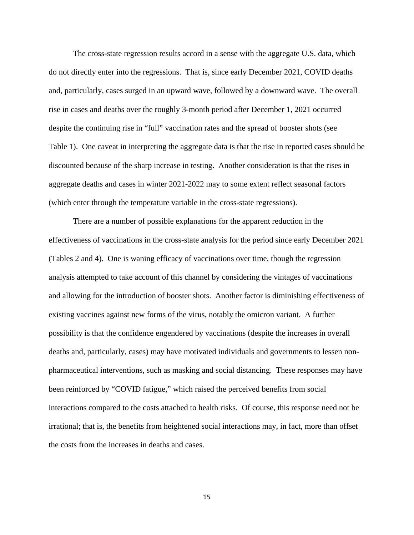The cross-state regression results accord in a sense with the aggregate U.S. data, which do not directly enter into the regressions. That is, since early December 2021, COVID deaths and, particularly, cases surged in an upward wave, followed by a downward wave. The overall rise in cases and deaths over the roughly 3-month period after December 1, 2021 occurred despite the continuing rise in "full" vaccination rates and the spread of booster shots (see Table 1). One caveat in interpreting the aggregate data is that the rise in reported cases should be discounted because of the sharp increase in testing. Another consideration is that the rises in aggregate deaths and cases in winter 2021-2022 may to some extent reflect seasonal factors (which enter through the temperature variable in the cross-state regressions).

There are a number of possible explanations for the apparent reduction in the effectiveness of vaccinations in the cross-state analysis for the period since early December 2021 (Tables 2 and 4). One is waning efficacy of vaccinations over time, though the regression analysis attempted to take account of this channel by considering the vintages of vaccinations and allowing for the introduction of booster shots. Another factor is diminishing effectiveness of existing vaccines against new forms of the virus, notably the omicron variant. A further possibility is that the confidence engendered by vaccinations (despite the increases in overall deaths and, particularly, cases) may have motivated individuals and governments to lessen nonpharmaceutical interventions, such as masking and social distancing. These responses may have been reinforced by "COVID fatigue," which raised the perceived benefits from social interactions compared to the costs attached to health risks. Of course, this response need not be irrational; that is, the benefits from heightened social interactions may, in fact, more than offset the costs from the increases in deaths and cases.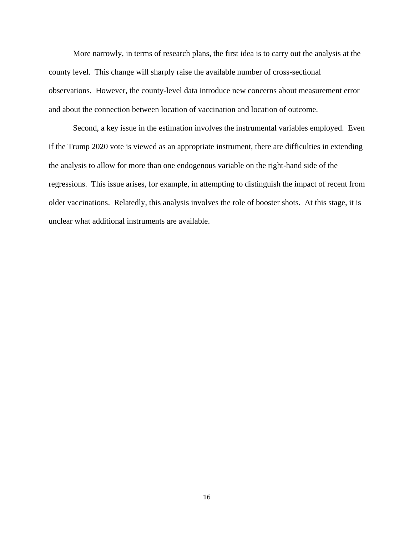More narrowly, in terms of research plans, the first idea is to carry out the analysis at the county level. This change will sharply raise the available number of cross-sectional observations. However, the county-level data introduce new concerns about measurement error and about the connection between location of vaccination and location of outcome.

 Second, a key issue in the estimation involves the instrumental variables employed. Even if the Trump 2020 vote is viewed as an appropriate instrument, there are difficulties in extending the analysis to allow for more than one endogenous variable on the right-hand side of the regressions. This issue arises, for example, in attempting to distinguish the impact of recent from older vaccinations. Relatedly, this analysis involves the role of booster shots. At this stage, it is unclear what additional instruments are available.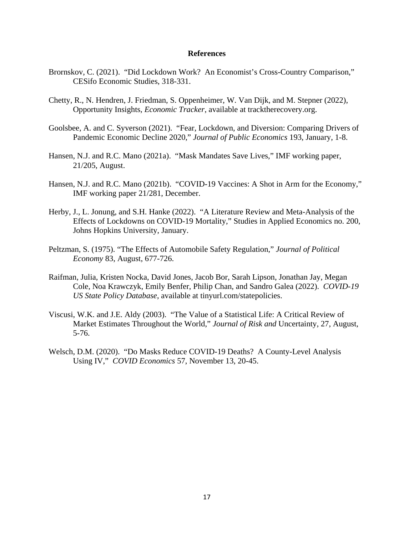## **References**

- Brornskov, C. (2021). "Did Lockdown Work? An Economist's Cross-Country Comparison," CESifo Economic Studies, 318-331.
- Chetty, R., N. Hendren, J. Friedman, S. Oppenheimer, W. Van Dijk, and M. Stepner (2022), Opportunity Insights*, Economic Tracker*, available at tracktherecovery.org.
- Goolsbee, A. and C. Syverson (2021). "Fear, Lockdown, and Diversion: Comparing Drivers of Pandemic Economic Decline 2020," *Journal of Public Economics* 193, January, 1-8.
- Hansen, N.J. and R.C. Mano (2021a). "Mask Mandates Save Lives," IMF working paper, 21/205, August.
- Hansen, N.J. and R.C. Mano (2021b). "COVID-19 Vaccines: A Shot in Arm for the Economy," IMF working paper 21/281, December.
- Herby, J., L. Jonung, and S.H. Hanke (2022). "A Literature Review and Meta-Analysis of the Effects of Lockdowns on COVID-19 Mortality," Studies in Applied Economics no. 200, Johns Hopkins University, January.
- Peltzman, S. (1975). "The Effects of Automobile Safety Regulation," *Journal of Political Economy* 83, August, 677-726.
- Raifman, Julia, Kristen Nocka, David Jones, Jacob Bor, Sarah Lipson, Jonathan Jay, Megan Cole, Noa Krawczyk, Emily Benfer, Philip Chan, and Sandro Galea (2022). *COVID-19 US State Policy Database*, available at tinyurl.com/statepolicies.
- Viscusi, W.K. and J.E. Aldy (2003). "The Value of a Statistical Life: A Critical Review of Market Estimates Throughout the World," *Journal of Risk and* Uncertainty, 27, August, 5-76.
- Welsch, D.M. (2020). "Do Masks Reduce COVID-19 Deaths? A County-Level Analysis Using IV," *COVID Economics* 57, November 13, 20-45.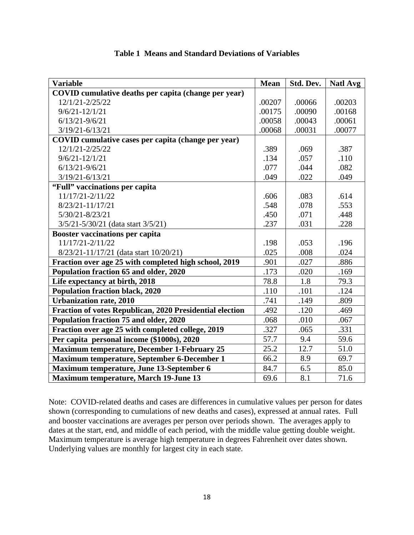| <b>Variable</b>                                          | <b>Mean</b> | Std. Dev. | <b>Natl Avg</b> |
|----------------------------------------------------------|-------------|-----------|-----------------|
| COVID cumulative deaths per capita (change per year)     |             |           |                 |
| 12/1/21-2/25/22                                          | .00207      | .00066    | .00203          |
| $9/6/21 - 12/1/21$                                       | .00175      | .00090    | .00168          |
| $6/13/21 - 9/6/21$                                       | .00058      | .00043    | .00061          |
| $3/19/21 - 6/13/21$                                      | .00068      | .00031    | .00077          |
| COVID cumulative cases per capita (change per year)      |             |           |                 |
| 12/1/21-2/25/22                                          | .389        | .069      | .387            |
| $9/6/21 - 12/1/21$                                       | .134        | .057      | .110            |
| $6/13/21 - 9/6/21$                                       | .077        | .044      | .082            |
| $3/19/21 - 6/13/21$                                      | .049        | .022      | .049            |
| "Full" vaccinations per capita                           |             |           |                 |
| 11/17/21-2/11/22                                         | .606        | .083      | .614            |
| $8/23/21 - 11/17/21$                                     | .548        | .078      | .553            |
| $5/30/21 - 8/23/21$                                      | .450        | .071      | .448            |
| $3/5/21 - 5/30/21$ (data start $3/5/21$ )                | .237        | .031      | .228            |
| <b>Booster vaccinations per capita</b>                   |             |           |                 |
| 11/17/21-2/11/22                                         | .198        | .053      | .196            |
| 8/23/21-11/17/21 (data start 10/20/21)                   | .025        | .008      | .024            |
| Fraction over age 25 with completed high school, 2019    | .901        | .027      | .886            |
| Population fraction 65 and older, 2020                   | .173        | .020      | .169            |
| Life expectancy at birth, 2018                           | 78.8        | 1.8       | 79.3            |
| <b>Population fraction black, 2020</b>                   | .110        | .101      | .124            |
| <b>Urbanization rate, 2010</b>                           | .741        | .149      | .809            |
| Fraction of votes Republican, 2020 Presidential election | .492        | .120      | .469            |
| Population fraction 75 and older, 2020                   | .068        | .010      | .067            |
| Fraction over age 25 with completed college, 2019        | .327        | .065      | .331            |
| Per capita personal income (\$1000s), 2020               | 57.7        | 9.4       | 59.6            |
| <b>Maximum temperature, December 1-February 25</b>       | 25.2        | 12.7      | 51.0            |
| <b>Maximum temperature, September 6-December 1</b>       | 66.2        | 8.9       | 69.7            |
| Maximum temperature, June 13-September 6                 | 84.7        | 6.5       | 85.0            |
| <b>Maximum temperature, March 19-June 13</b>             | 69.6        | 8.1       | 71.6            |

# **Table 1 Means and Standard Deviations of Variables**

Note: COVID-related deaths and cases are differences in cumulative values per person for dates shown (corresponding to cumulations of new deaths and cases), expressed at annual rates. Full and booster vaccinations are averages per person over periods shown. The averages apply to dates at the start, end, and middle of each period, with the middle value getting double weight. Maximum temperature is average high temperature in degrees Fahrenheit over dates shown. Underlying values are monthly for largest city in each state.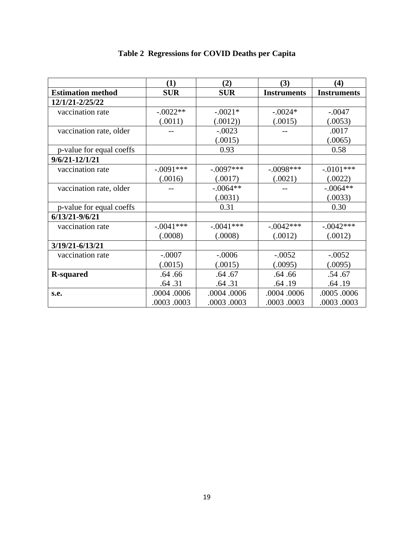|                          | (1)         | (2)         | (3)                | (4)                |
|--------------------------|-------------|-------------|--------------------|--------------------|
| <b>Estimation method</b> | <b>SUR</b>  | <b>SUR</b>  | <b>Instruments</b> | <b>Instruments</b> |
| 12/1/21-2/25/22          |             |             |                    |                    |
| vaccination rate         | $-.0022**$  | $-.0021*$   | $-.0024*$          | $-.0047$           |
|                          | (.0011)     | (.0012))    | (.0015)            | (.0053)            |
| vaccination rate, older  |             | $-.0023$    |                    | .0017              |
|                          |             | (.0015)     |                    | (.0065)            |
| p-value for equal coeffs |             | 0.93        |                    | 0.58               |
| $9/6/21 - 12/1/21$       |             |             |                    |                    |
| vaccination rate         | $-.0091***$ | $-.0097***$ | $-.0098***$        | $-.0101***$        |
|                          | (.0016)     | (.0017)     | (.0021)            | (.0022)            |
| vaccination rate, older  |             | $-.0064**$  |                    | $-.0064**$         |
|                          |             | (.0031)     |                    | (.0033)            |
| p-value for equal coeffs |             | 0.31        |                    | 0.30               |
| $6/13/21 - 9/6/21$       |             |             |                    |                    |
| vaccination rate         | $-.0041***$ | $-.0041***$ | $-.0042***$        | $-.0042***$        |
|                          | (.0008)     | (.0008)     | (.0012)            | (.0012)            |
| 3/19/21-6/13/21          |             |             |                    |                    |
| vaccination rate         | $-.0007$    | $-.0006$    | $-.0052$           | $-.0052$           |
|                          | (.0015)     | (.0015)     | (.0095)            | (.0095)            |
| <b>R-squared</b>         | .64.66      | .64.67      | .64.66             | .54.67             |
|                          | .64 .31     | .64 .31     | .64.19             | .64.19             |
| s.e.                     | .0004.0006  | .0004.0006  | .0004.0006         | .0005.0006         |
|                          | .0003.0003  | .0003.0003  | .0003.0003         | .0003.0003         |

# **Table 2 Regressions for COVID Deaths per Capita**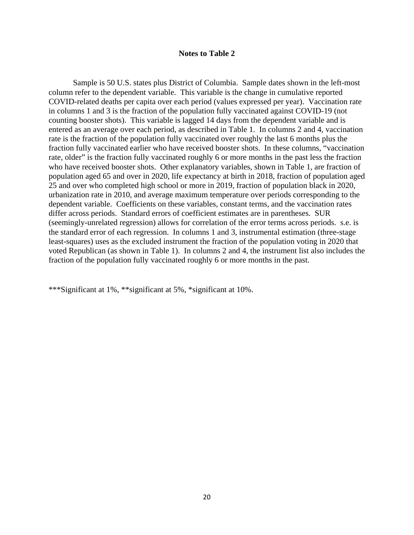### **Notes to Table 2**

Sample is 50 U.S. states plus District of Columbia. Sample dates shown in the left-most column refer to the dependent variable. This variable is the change in cumulative reported COVID-related deaths per capita over each period (values expressed per year). Vaccination rate in columns 1 and 3 is the fraction of the population fully vaccinated against COVID-19 (not counting booster shots). This variable is lagged 14 days from the dependent variable and is entered as an average over each period, as described in Table 1. In columns 2 and 4, vaccination rate is the fraction of the population fully vaccinated over roughly the last 6 months plus the fraction fully vaccinated earlier who have received booster shots. In these columns, "vaccination rate, older" is the fraction fully vaccinated roughly 6 or more months in the past less the fraction who have received booster shots. Other explanatory variables, shown in Table 1, are fraction of population aged 65 and over in 2020, life expectancy at birth in 2018, fraction of population aged 25 and over who completed high school or more in 2019, fraction of population black in 2020, urbanization rate in 2010, and average maximum temperature over periods corresponding to the dependent variable. Coefficients on these variables, constant terms, and the vaccination rates differ across periods. Standard errors of coefficient estimates are in parentheses. SUR (seemingly-unrelated regression) allows for correlation of the error terms across periods. s.e. is the standard error of each regression. In columns 1 and 3, instrumental estimation (three-stage least-squares) uses as the excluded instrument the fraction of the population voting in 2020 that voted Republican (as shown in Table 1). In columns 2 and 4, the instrument list also includes the fraction of the population fully vaccinated roughly 6 or more months in the past.

\*\*\*Significant at 1%, \*\*significant at 5%, \*significant at 10%.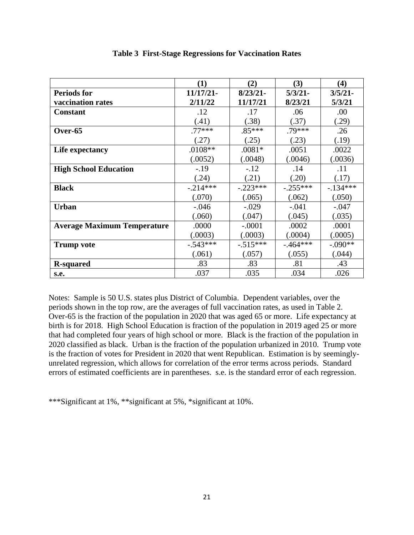|                                    | (1)        | (2)         | (3)        | (4)        |
|------------------------------------|------------|-------------|------------|------------|
| <b>Periods for</b>                 | 11/17/21-  | $8/23/21$ - | $5/3/21$ - | $3/5/21$ - |
| vaccination rates                  | 2/11/22    | 11/17/21    | 8/23/21    | 5/3/21     |
| <b>Constant</b>                    | .12        | .17         | .06        | .00        |
|                                    | (.41)      | (.38)       | (.37)      | (.29)      |
| Over-65                            | $.77***$   | $.85***$    | .79***     | .26        |
|                                    | (.27)      | (.25)       | (.23)      | (.19)      |
| Life expectancy                    | $.0108**$  | $.0081*$    | .0051      | .0022      |
|                                    | (.0052)    | (.0048)     | (.0046)    | (.0036)    |
| <b>High School Education</b>       | $-.19$     | $-.12$      | .14        | .11        |
|                                    | (.24)      | (.21)       | (.20)      | (.17)      |
| <b>Black</b>                       | $-.214***$ | $-.223***$  | $-.255***$ | $-134***$  |
|                                    | (.070)     | (.065)      | (.062)     | (.050)     |
| <b>Urban</b>                       | $-.046$    | $-.029$     | $-.041$    | $-.047$    |
|                                    | (.060)     | (.047)      | (.045)     | (.035)     |
| <b>Average Maximum Temperature</b> | .0000      | $-.0001$    | .0002      | .0001      |
|                                    | (.0003)    | (.0003)     | (.0004)    | (.0005)    |
| <b>Trump vote</b>                  | $-.543***$ | $-0.515***$ | $-.464***$ | $-.090**$  |
|                                    | (.061)     | (.057)      | (.055)     | (.044)     |
| <b>R-squared</b>                   | .83        | .83         | .81        | .43        |
| s.e.                               | .037       | .035        | .034       | .026       |

# **Table 3 First-Stage Regressions for Vaccination Rates**

Notes: Sample is 50 U.S. states plus District of Columbia. Dependent variables, over the periods shown in the top row, are the averages of full vaccination rates, as used in Table 2. Over-65 is the fraction of the population in 2020 that was aged 65 or more. Life expectancy at birth is for 2018. High School Education is fraction of the population in 2019 aged 25 or more that had completed four years of high school or more. Black is the fraction of the population in 2020 classified as black. Urban is the fraction of the population urbanized in 2010. Trump vote is the fraction of votes for President in 2020 that went Republican. Estimation is by seeminglyunrelated regression, which allows for correlation of the error terms across periods. Standard errors of estimated coefficients are in parentheses. s.e. is the standard error of each regression.

\*\*\*Significant at 1%, \*\*significant at 5%, \*significant at 10%.